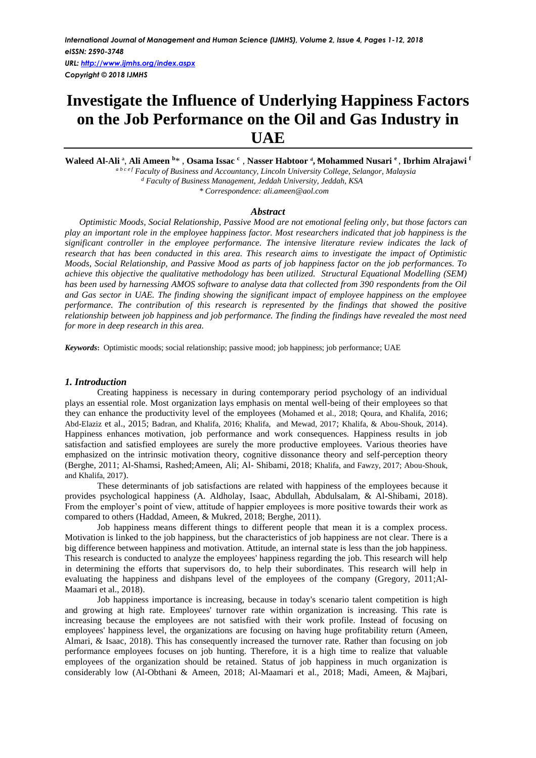*URL:<http://www.ijmhs.org/index.aspx> Copyright © 2018 IJMHS*

# **Investigate the Influence of Underlying Happiness Factors on the Job Performance on the Oil and Gas Industry in UAE**

**Waleed Al-Ali** ª, **Ali Ameen <sup>b</sup>**\* , **Osama Issac <sup>c</sup>** , **Nasser Habtoor <sup>d</sup> , ͨMohammed Nusari <sup>e</sup>** , **Ibrhim Alrajawi <sup>f</sup>** *ª <sup>b</sup> <sup>c</sup> <sup>e</sup> <sup>f</sup> Faculty of Business and Accountancy, Lincoln University College, Selangor, Malaysia <sup>d</sup> Faculty of Business Management, Jeddah University, Jeddah, KSA*

*\* Correspondence: ali.ameen@aol.com*

## *Abstract*

*Optimistic Moods, Social Relationship, Passive Mood are not emotional feeling only, but those factors can play an important role in the employee happiness factor. Most researchers indicated that job happiness is the significant controller in the employee performance. The intensive literature review indicates the lack of research that has been conducted in this area. This research aims to investigate the impact of Optimistic Moods, Social Relationship, and Passive Mood as parts of job happiness factor on the job performances. To achieve this objective the qualitative methodology has been utilized. Structural Equational Modelling (SEM) has been used by harnessing AMOS software to analyse data that collected from 390 respondents from the Oil and Gas sector in UAE. The finding showing the significant impact of employee happiness on the employee performance. The contribution of this research is represented by the findings that showed the positive relationship between job happiness and job performance. The finding the findings have revealed the most need for more in deep research in this area.* 

*Keywords***:** Optimistic moods; social relationship; passive mood; job happiness; job performance; UAE

## *1. Introduction*

Creating happiness is necessary in during contemporary period psychology of an individual plays an essential role. Most organization lays emphasis on mental well-being of their employees so that they can enhance the productivity level of the employees (Mohamed et al., 2018; Qoura, and Khalifa, 2016; Abd-Elaziz et al., 2015; Badran, and Khalifa, 2016; Khalifa, and Mewad, 2017; Khalifa, & Abou-Shouk, 2014). Happiness enhances motivation, job performance and work consequences. Happiness results in job satisfaction and satisfied employees are surely the more productive employees. Various theories have emphasized on the intrinsic motivation theory, cognitive dissonance theory and self-perception theory (Berghe, 2011; Al-Shamsi, Rashed;Ameen, Ali; Al- Shibami, 2018; Khalifa, and Fawzy, 2017; Abou-Shouk, and Khalifa, 2017).

These determinants of job satisfactions are related with happiness of the employees because it provides psychological happiness (A. Aldholay, Isaac, Abdullah, Abdulsalam, & Al-Shibami, 2018). From the employer's point of view, attitude of happier employees is more positive towards their work as compared to others (Haddad, Ameen, & Mukred, 2018; Berghe, 2011).

Job happiness means different things to different people that mean it is a complex process. Motivation is linked to the job happiness, but the characteristics of job happiness are not clear. There is a big difference between happiness and motivation. Attitude, an internal state is less than the job happiness. This research is conducted to analyze the employees' happiness regarding the job. This research will help in determining the efforts that supervisors do, to help their subordinates. This research will help in evaluating the happiness and dishpans level of the employees of the company (Gregory, 2011;Al-Maamari et al., 2018).

Job happiness importance is increasing, because in today's scenario talent competition is high and growing at high rate. Employees' turnover rate within organization is increasing. This rate is increasing because the employees are not satisfied with their work profile. Instead of focusing on employees' happiness level, the organizations are focusing on having huge profitability return (Ameen, Almari, & Isaac, 2018). This has consequently increased the turnover rate. Rather than focusing on job performance employees focuses on job hunting. Therefore, it is a high time to realize that valuable employees of the organization should be retained. Status of job happiness in much organization is considerably low (Al-Obthani & Ameen, 2018; Al-Maamari et al., 2018; Madi, Ameen, & Majbari,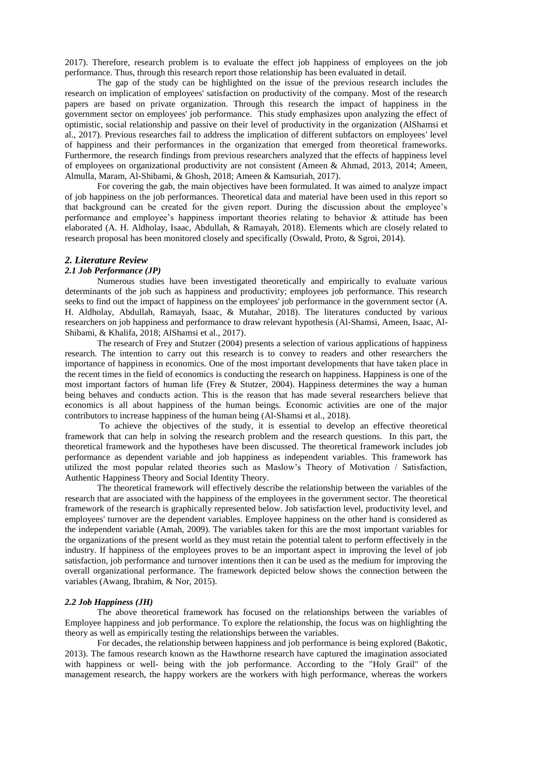2017). Therefore, research problem is to evaluate the effect job happiness of employees on the job performance. Thus, through this research report those relationship has been evaluated in detail.

The gap of the study can be highlighted on the issue of the previous research includes the research on implication of employees' satisfaction on productivity of the company. Most of the research papers are based on private organization. Through this research the impact of happiness in the government sector on employees' job performance. This study emphasizes upon analyzing the effect of optimistic, social relationship and passive on their level of productivity in the organization (AlShamsi et al., 2017). Previous researches fail to address the implication of different subfactors on employees' level of happiness and their performances in the organization that emerged from theoretical frameworks. Furthermore, the research findings from previous researchers analyzed that the effects of happiness level of employees on organizational productivity are not consistent (Ameen & Ahmad, 2013, 2014; Ameen, Almulla, Maram, Al-Shibami, & Ghosh, 2018; Ameen & Kamsuriah, 2017).

For covering the gab, the main objectives have been formulated. It was aimed to analyze impact of job happiness on the job performances. Theoretical data and material have been used in this report so that background can be created for the given report. During the discussion about the employee's performance and employee's happiness important theories relating to behavior & attitude has been elaborated (A. H. Aldholay, Isaac, Abdullah, & Ramayah, 2018). Elements which are closely related to research proposal has been monitored closely and specifically (Oswald, Proto, & Sgroi, 2014).

## *2. Literature Review*

# *2.1 Job Performance (JP)*

Numerous studies have been investigated theoretically and empirically to evaluate various determinants of the job such as happiness and productivity; employees job performance. This research seeks to find out the impact of happiness on the employees' job performance in the government sector (A. H. Aldholay, Abdullah, Ramayah, Isaac, & Mutahar, 2018). The literatures conducted by various researchers on job happiness and performance to draw relevant hypothesis (Al-Shamsi, Ameen, Isaac, Al-Shibami, & Khalifa, 2018; AlShamsi et al., 2017).

The research of Frey and Stutzer (2004) presents a selection of various applications of happiness research. The intention to carry out this research is to convey to readers and other researchers the importance of happiness in economics. One of the most important developments that have taken place in the recent times in the field of economics is conducting the research on happiness. Happiness is one of the most important factors of human life (Frey & Stutzer, 2004). Happiness determines the way a human being behaves and conducts action. This is the reason that has made several researchers believe that economics is all about happiness of the human beings. Economic activities are one of the major contributors to increase happiness of the human being (Al-Shamsi et al., 2018).

To achieve the objectives of the study, it is essential to develop an effective theoretical framework that can help in solving the research problem and the research questions. In this part, the theoretical framework and the hypotheses have been discussed. The theoretical framework includes job performance as dependent variable and job happiness as independent variables. This framework has utilized the most popular related theories such as Maslow's Theory of Motivation / Satisfaction, Authentic Happiness Theory and Social Identity Theory.

The theoretical framework will effectively describe the relationship between the variables of the research that are associated with the happiness of the employees in the government sector. The theoretical framework of the research is graphically represented below. Job satisfaction level, productivity level, and employees' turnover are the dependent variables. Employee happiness on the other hand is considered as the independent variable (Amah, 2009). The variables taken for this are the most important variables for the organizations of the present world as they must retain the potential talent to perform effectively in the industry. If happiness of the employees proves to be an important aspect in improving the level of job satisfaction, job performance and turnover intentions then it can be used as the medium for improving the overall organizational performance. The framework depicted below shows the connection between the variables (Awang, Ibrahim, & Nor, 2015).

#### *2.2 Job Happiness (JH)*

The above theoretical framework has focused on the relationships between the variables of Employee happiness and job performance. To explore the relationship, the focus was on highlighting the theory as well as empirically testing the relationships between the variables.

For decades, the relationship between happiness and job performance is being explored (Bakotic, 2013). The famous research known as the Hawthorne research have captured the imagination associated with happiness or well- being with the job performance. According to the "Holy Grail" of the management research, the happy workers are the workers with high performance, whereas the workers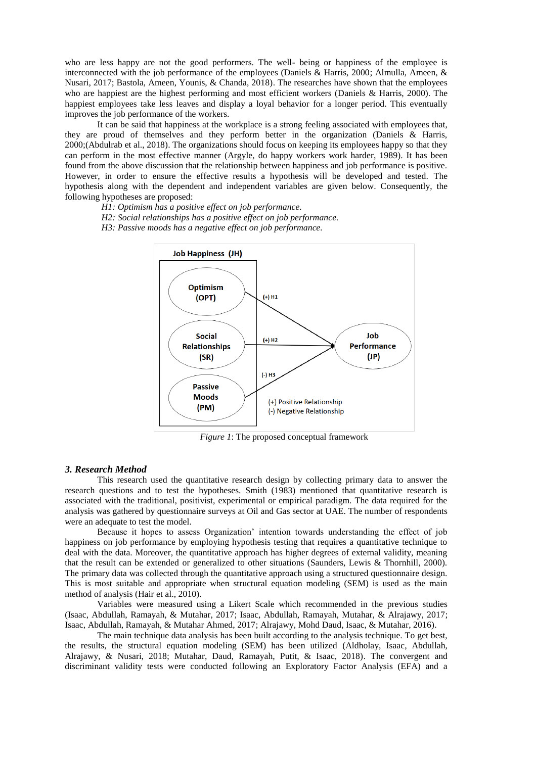who are less happy are not the good performers. The well- being or happiness of the employee is interconnected with the job performance of the employees (Daniels & Harris, 2000; Almulla, Ameen, & Nusari, 2017; Bastola, Ameen, Younis, & Chanda, 2018). The researches have shown that the employees who are happiest are the highest performing and most efficient workers (Daniels & Harris, 2000). The happiest employees take less leaves and display a loyal behavior for a longer period. This eventually improves the job performance of the workers.

It can be said that happiness at the workplace is a strong feeling associated with employees that, they are proud of themselves and they perform better in the organization (Daniels & Harris, 2000;(Abdulrab et al., 2018). The organizations should focus on keeping its employees happy so that they can perform in the most effective manner (Argyle, do happy workers work harder, 1989). It has been found from the above discussion that the relationship between happiness and job performance is positive. However, in order to ensure the effective results a hypothesis will be developed and tested. The hypothesis along with the dependent and independent variables are given below. Consequently, the following hypotheses are proposed:

*H1: Optimism has a positive effect on job performance. H2: Social relationships has a positive effect on job performance.*

*H3: Passive moods has a negative effect on job performance.*



*Figure 1*: The proposed conceptual framework

## *3. Research Method*

This research used the quantitative research design by collecting primary data to answer the research questions and to test the hypotheses. Smith (1983) mentioned that quantitative research is associated with the traditional, positivist, experimental or empirical paradigm. The data required for the analysis was gathered by questionnaire surveys at Oil and Gas sector at UAE. The number of respondents were an adequate to test the model.

Because it hopes to assess Organization' intention towards understanding the effect of job happiness on job performance by employing hypothesis testing that requires a quantitative technique to deal with the data. Moreover, the quantitative approach has higher degrees of external validity, meaning that the result can be extended or generalized to other situations (Saunders, Lewis & Thornhill, 2000). The primary data was collected through the quantitative approach using a structured questionnaire design. This is most suitable and appropriate when structural equation modeling (SEM) is used as the main method of analysis (Hair et al., 2010).

Variables were measured using a Likert Scale which recommended in the previous studies (Isaac, Abdullah, Ramayah, & Mutahar, 2017; Isaac, Abdullah, Ramayah, Mutahar, & Alrajawy, 2017; Isaac, Abdullah, Ramayah, & Mutahar Ahmed, 2017; Alrajawy, Mohd Daud, Isaac, & Mutahar, 2016).

The main technique data analysis has been built according to the analysis technique. To get best, the results, the structural equation modeling (SEM) has been utilized (Aldholay, Isaac, Abdullah, Alrajawy, & Nusari, 2018; Mutahar, Daud, Ramayah, Putit, & Isaac, 2018). The convergent and discriminant validity tests were conducted following an Exploratory Factor Analysis (EFA) and a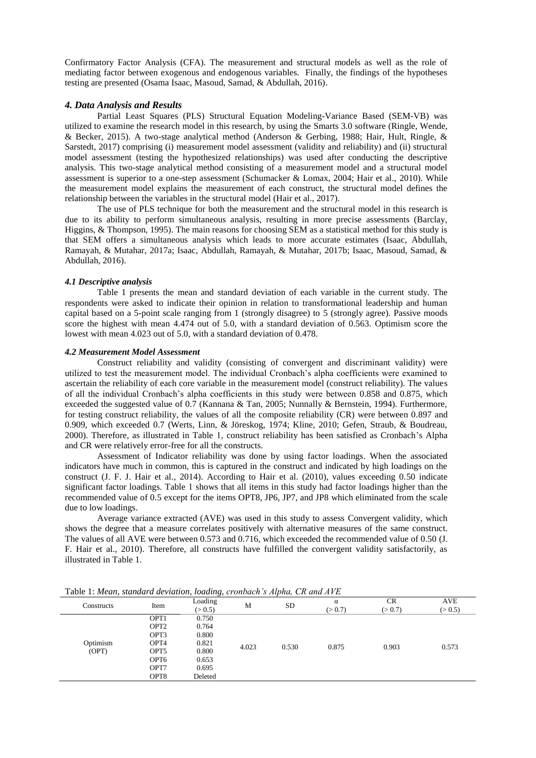Confirmatory Factor Analysis (CFA). The measurement and structural models as well as the role of mediating factor between exogenous and endogenous variables. Finally, the findings of the hypotheses testing are presented (Osama Isaac, Masoud, Samad, & Abdullah, 2016).

## *4. Data Analysis and Results*

Partial Least Squares (PLS) Structural Equation Modeling-Variance Based (SEM-VB) was utilized to examine the research model in this research, by using the Smarts 3.0 software (Ringle, Wende, & Becker, 2015). A two-stage analytical method (Anderson & Gerbing, 1988; Hair, Hult, Ringle, & Sarstedt, 2017) comprising (i) measurement model assessment (validity and reliability) and (ii) structural model assessment (testing the hypothesized relationships) was used after conducting the descriptive analysis. This two-stage analytical method consisting of a measurement model and a structural model assessment is superior to a one-step assessment (Schumacker & Lomax, 2004; Hair et al., 2010). While the measurement model explains the measurement of each construct, the structural model defines the relationship between the variables in the structural model (Hair et al., 2017).

The use of PLS technique for both the measurement and the structural model in this research is due to its ability to perform simultaneous analysis, resulting in more precise assessments (Barclay, Higgins, & Thompson, 1995). The main reasons for choosing SEM as a statistical method for this study is that SEM offers a simultaneous analysis which leads to more accurate estimates (Isaac, Abdullah, Ramayah, & Mutahar, 2017a; Isaac, Abdullah, Ramayah, & Mutahar, 2017b; Isaac, Masoud, Samad, & Abdullah, 2016).

#### *4.1 Descriptive analysis*

Table 1 presents the mean and standard deviation of each variable in the current study. The respondents were asked to indicate their opinion in relation to transformational leadership and human capital based on a 5-point scale ranging from 1 (strongly disagree) to 5 (strongly agree). Passive moods score the highest with mean 4.474 out of 5.0, with a standard deviation of 0.563. Optimism score the lowest with mean 4.023 out of 5.0, with a standard deviation of 0.478.

# *4.2 Measurement Model Assessment*

Construct reliability and validity (consisting of convergent and discriminant validity) were utilized to test the measurement model. The individual Cronbach's alpha coefficients were examined to ascertain the reliability of each core variable in the measurement model (construct reliability). The values of all the individual Cronbach's alpha coefficients in this study were between 0.858 and 0.875, which exceeded the suggested value of 0.7 (Kannana & Tan, 2005; Nunnally & Bernstein, 1994). Furthermore, for testing construct reliability, the values of all the composite reliability (CR) were between 0.897 and 0.909, which exceeded 0.7 (Werts, Linn, & Jöreskog, 1974; Kline, 2010; Gefen, Straub, & Boudreau, 2000). Therefore, as illustrated in Table 1, construct reliability has been satisfied as Cronbach's Alpha and CR were relatively error-free for all the constructs.

Assessment of Indicator reliability was done by using factor loadings. When the associated indicators have much in common, this is captured in the construct and indicated by high loadings on the construct (J. F. J. Hair et al., 2014). According to Hair et al. (2010), values exceeding 0.50 indicate significant factor loadings. Table 1 shows that all items in this study had factor loadings higher than the recommended value of 0.5 except for the items OPT8, JP6, JP7, and JP8 which eliminated from the scale due to low loadings.

Average variance extracted (AVE) was used in this study to assess Convergent validity, which shows the degree that a measure correlates positively with alternative measures of the same construct. The values of all AVE were between 0.573 and 0.716, which exceeded the recommended value of 0.50 (J. F. Hair et al., 2010). Therefore, all constructs have fulfilled the convergent validity satisfactorily, as illustrated in Table 1.

|            |                  | $\cup$ $\prime$    |       |           |              |                      |                       |
|------------|------------------|--------------------|-------|-----------|--------------|----------------------|-----------------------|
| Constructs | Item             | Loading<br>(> 0.5) | М     | <b>SD</b> | α<br>(> 0.7) | <b>CR</b><br>(> 0.7) | <b>AVE</b><br>(> 0.5) |
|            | OPT1             | 0.750              |       | 0.530     | 0.875        | 0.903                | 0.573                 |
|            | OPT <sub>2</sub> | 0.764              |       |           |              |                      |                       |
|            | OPT3             | 0.800              |       |           |              |                      |                       |
| Optimism   | OPT4             | 0.821              | 4.023 |           |              |                      |                       |
| (OPT)      | OPT5             | 0.800              |       |           |              |                      |                       |
|            | OPT <sub>6</sub> | 0.653              |       |           |              |                      |                       |
|            | OPT7             | 0.695              |       |           |              |                      |                       |
|            | OPT8             | Deleted            |       |           |              |                      |                       |
|            |                  |                    |       |           |              |                      |                       |

Table 1: *Mean, standard deviation, loading*, *cronbach's Alpha, CR and AVE*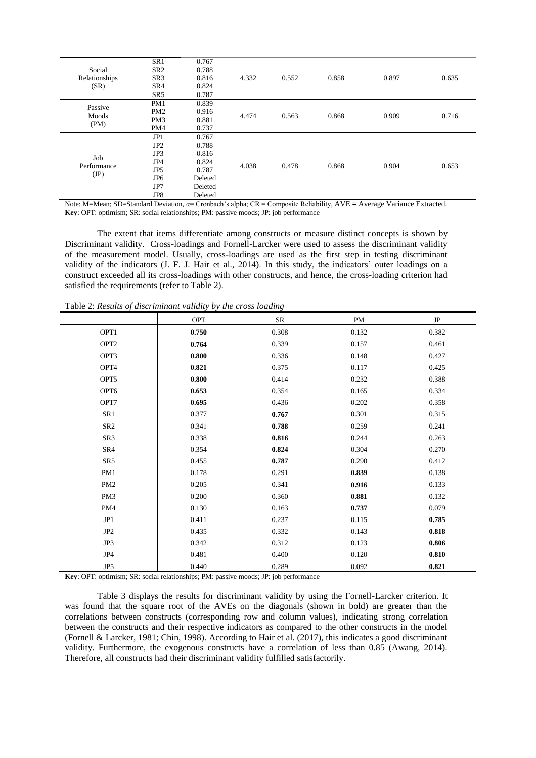|                     | SR <sub>1</sub> | 0.767   | 4.332 | 0.552 | 0.858 | 0.897 | 0.635 |
|---------------------|-----------------|---------|-------|-------|-------|-------|-------|
| Social              | SR <sub>2</sub> | 0.788   |       |       |       |       |       |
| Relationships       | SR <sub>3</sub> | 0.816   |       |       |       |       |       |
| (SR)                | SR4             | 0.824   |       |       |       |       |       |
|                     | SR <sub>5</sub> | 0.787   |       |       |       |       |       |
| Passive             | PM1             | 0.839   |       | 0.563 | 0.868 | 0.909 | 0.716 |
| Moods               | PM <sub>2</sub> | 0.916   |       |       |       |       |       |
| (PM)                | PM <sub>3</sub> | 0.881   | 4.474 |       |       |       |       |
|                     | PM4             | 0.737   |       |       |       |       |       |
|                     | JP1             | 0.767   |       | 0.478 | 0.868 | 0.904 | 0.653 |
|                     | JP <sub>2</sub> | 0.788   |       |       |       |       |       |
|                     | JP3             | 0.816   |       |       |       |       |       |
| Job                 | JP4             | 0.824   | 4.038 |       |       |       |       |
| Performance<br>(JP) | JP5             | 0.787   |       |       |       |       |       |
|                     | JP <sub>6</sub> | Deleted |       |       |       |       |       |
|                     | JP7             | Deleted |       |       |       |       |       |
|                     | JP8             | Deleted |       |       |       |       |       |

Note: M=Mean; SD=Standard Deviation, α= Cronbach's alpha; CR = Composite Reliability, AVE **=** Average Variance Extracted. **Key**: OPT: optimism; SR: social relationships; PM: passive moods; JP: job performance

The extent that items differentiate among constructs or measure distinct concepts is shown by Discriminant validity. Cross-loadings and Fornell-Larcker were used to assess the discriminant validity of the measurement model. Usually, cross-loadings are used as the first step in testing discriminant validity of the indicators (J. F. J. Hair et al., 2014). In this study, the indicators' outer loadings on a construct exceeded all its cross-loadings with other constructs, and hence, the cross-loading criterion had satisfied the requirements (refer to Table 2).

|                  | <b>OPT</b> | <b>SR</b> | PM    | $\rm{JP}$ |
|------------------|------------|-----------|-------|-----------|
| OPT1             | 0.750      | 0.308     | 0.132 | 0.382     |
| OPT <sub>2</sub> | 0.764      | 0.339     | 0.157 | 0.461     |
| OPT3             | 0.800      | 0.336     | 0.148 | 0.427     |
| OPT4             | 0.821      | 0.375     | 0.117 | 0.425     |
| OPT5             | 0.800      | 0.414     | 0.232 | 0.388     |
| OPT6             | 0.653      | 0.354     | 0.165 | 0.334     |
| OPT7             | 0.695      | 0.436     | 0.202 | 0.358     |
| SR1              | 0.377      | 0.767     | 0.301 | 0.315     |
| SR <sub>2</sub>  | 0.341      | 0.788     | 0.259 | 0.241     |
| SR3              | 0.338      | 0.816     | 0.244 | 0.263     |
| SR4              | 0.354      | 0.824     | 0.304 | 0.270     |
| SR5              | 0.455      | 0.787     | 0.290 | 0.412     |
| PM1              | 0.178      | 0.291     | 0.839 | 0.138     |
| PM <sub>2</sub>  | 0.205      | 0.341     | 0.916 | 0.133     |
| PM <sub>3</sub>  | 0.200      | 0.360     | 0.881 | 0.132     |
| PM4              | 0.130      | 0.163     | 0.737 | 0.079     |
| JP1              | 0.411      | 0.237     | 0.115 | 0.785     |
| JP <sub>2</sub>  | 0.435      | 0.332     | 0.143 | 0.818     |
| JP3              | 0.342      | 0.312     | 0.123 | 0.806     |
| JP4              | 0.481      | 0.400     | 0.120 | 0.810     |
| JP5              | 0.440      | 0.289     | 0.092 | 0.821     |

Table 2: *Results of discriminant validity by the cross loading* 

**Key**: OPT: optimism; SR: social relationships; PM: passive moods; JP: job performance

Table 3 displays the results for discriminant validity by using the Fornell-Larcker criterion. It was found that the square root of the AVEs on the diagonals (shown in bold) are greater than the correlations between constructs (corresponding row and column values), indicating strong correlation between the constructs and their respective indicators as compared to the other constructs in the model (Fornell & Larcker, 1981; Chin, 1998). According to Hair et al. (2017), this indicates a good discriminant validity. Furthermore, the exogenous constructs have a correlation of less than 0.85 (Awang, 2014). Therefore, all constructs had their discriminant validity fulfilled satisfactorily.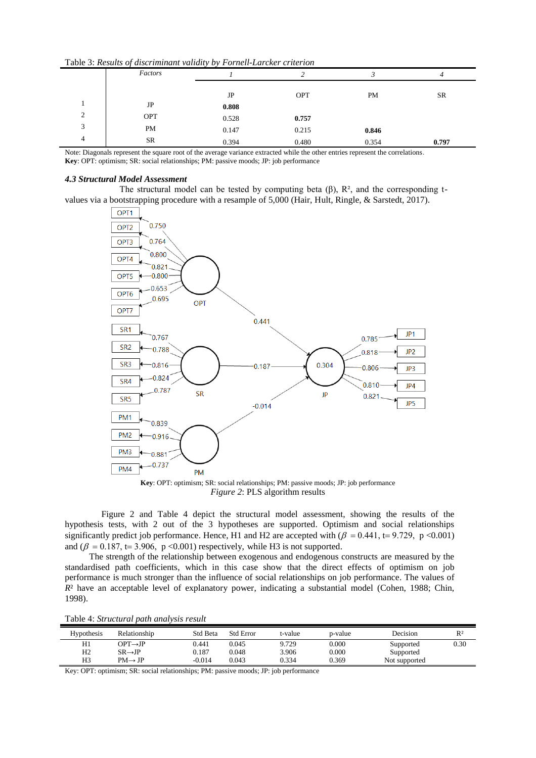|   | <b>Table 5. Results of alscriminant valially by Fornell-Larcker criterion</b> |       |       |           |           |  |  |  |
|---|-------------------------------------------------------------------------------|-------|-------|-----------|-----------|--|--|--|
|   | Factors                                                                       |       |       |           |           |  |  |  |
|   |                                                                               |       |       |           |           |  |  |  |
|   |                                                                               | JP    | OPT   | <b>PM</b> | <b>SR</b> |  |  |  |
|   | JP                                                                            | 0.808 |       |           |           |  |  |  |
| ↑ | OPT                                                                           | 0.528 | 0.757 |           |           |  |  |  |
| 3 | <b>PM</b>                                                                     | 0.147 | 0.215 | 0.846     |           |  |  |  |
| 4 | <b>SR</b>                                                                     | 0.394 | 0.480 | 0.354     | 0.797     |  |  |  |

Table 3: *Results of discriminant validity by Fornell-Larcker criterion* 

Note: Diagonals represent the square root of the average variance extracted while the other entries represent the correlations. **Key**: OPT: optimism; SR: social relationships; PM: passive moods; JP: job performance

### *4.3 Structural Model Assessment*

The structural model can be tested by computing beta  $(\beta)$ ,  $R^2$ , and the corresponding tvalues via a bootstrapping procedure with a resample of 5,000 (Hair, Hult, Ringle, & Sarstedt, 2017).



*Figure 2*: PLS algorithm results

Figure 2 and Table 4 depict the structural model assessment, showing the results of the hypothesis tests, with 2 out of the 3 hypotheses are supported. Optimism and social relationships significantly predict job performance. Hence, H1 and H2 are accepted with  $(\beta = 0.441, t = 9.729, p < 0.001)$ and ( $\beta = 0.187$ , t= 3.906, p <0.001) respectively, while H3 is not supported.

The strength of the relationship between exogenous and endogenous constructs are measured by the standardised path coefficients, which in this case show that the direct effects of optimism on job performance is much stronger than the influence of social relationships on job performance. The values of *R*<sup>2</sup> have an acceptable level of explanatory power, indicating a substantial model (Cohen, 1988; Chin, 1998).

| Hypothesis     | Relationship                           | <b>Std Beta</b> | <b>Std Error</b> | t-value | p-value | Decision      | $R^2$ |
|----------------|----------------------------------------|-----------------|------------------|---------|---------|---------------|-------|
| H1             | $\mathrm{OPT}{\rightarrow}\mathrm{JP}$ | 0.441           | 0.045            | 9.729   | 0.000   | Supported     | 0.30  |
| H <sub>2</sub> | $SR \rightarrow JP$                    | 0.187           | 0.048            | 3.906   | 0.000   | Supported     |       |
| H3             | $PM \rightarrow IP$                    | $-0.014$        | 0.043            | 0.334   | 0.369   | Not supported |       |

Key: OPT: optimism; SR: social relationships; PM: passive moods; JP: job performance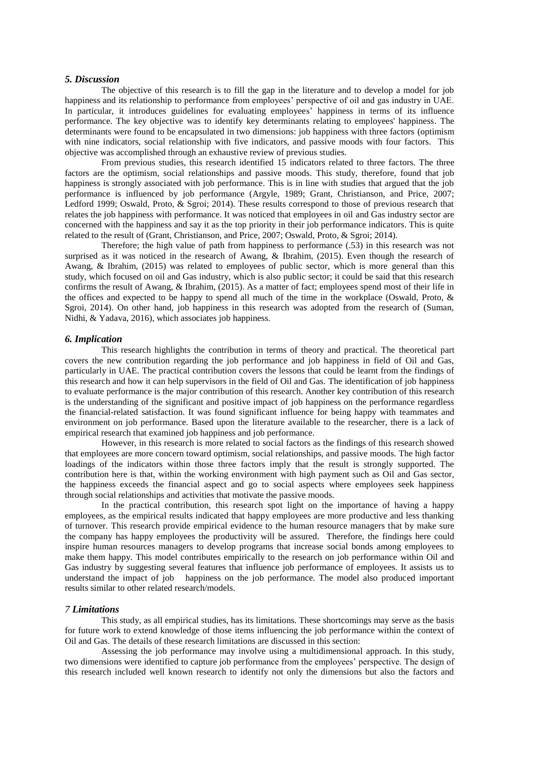#### *5. Discussion*

The objective of this research is to fill the gap in the literature and to develop a model for job happiness and its relationship to performance from employees' perspective of oil and gas industry in UAE. In particular, it introduces guidelines for evaluating employees' happiness in terms of its influence performance. The key objective was to identify key determinants relating to employees' happiness. The determinants were found to be encapsulated in two dimensions: job happiness with three factors (optimism with nine indicators, social relationship with five indicators, and passive moods with four factors. This objective was accomplished through an exhaustive review of previous studies.

From previous studies, this research identified 15 indicators related to three factors. The three factors are the optimism, social relationships and passive moods. This study, therefore, found that job happiness is strongly associated with job performance. This is in line with studies that argued that the job performance is influenced by job performance (Argyle, 1989; Grant, Christianson, and Price, 2007; Ledford 1999; Oswald, Proto, & Sgroi; 2014). These results correspond to those of previous research that relates the job happiness with performance. It was noticed that employees in oil and Gas industry sector are concerned with the happiness and say it as the top priority in their job performance indicators. This is quite related to the result of (Grant, Christianson, and Price, 2007; Oswald, Proto, & Sgroi; 2014).

Therefore; the high value of path from happiness to performance (.53) in this research was not surprised as it was noticed in the research of Awang, & Ibrahim, (2015). Even though the research of Awang, & Ibrahim, (2015) was related to employees of public sector, which is more general than this study, which focused on oil and Gas industry, which is also public sector; it could be said that this research confirms the result of Awang, & Ibrahim, (2015). As a matter of fact; employees spend most of their life in the offices and expected to be happy to spend all much of the time in the workplace (Oswald, Proto, & Sgroi, 2014). On other hand, job happiness in this research was adopted from the research of (Suman, Nidhi, & Yadava, 2016), which associates job happiness.

## *6. Implication*

This research highlights the contribution in terms of theory and practical. The theoretical part covers the new contribution regarding the job performance and job happiness in field of Oil and Gas, particularly in UAE. The practical contribution covers the lessons that could be learnt from the findings of this research and how it can help supervisors in the field of Oil and Gas. The identification of job happiness to evaluate performance is the major contribution of this research. Another key contribution of this research is the understanding of the significant and positive impact of job happiness on the performance regardless the financial-related satisfaction. It was found significant influence for being happy with teammates and environment on job performance. Based upon the literature available to the researcher, there is a lack of empirical research that examined job happiness and job performance.

However, in this research is more related to social factors as the findings of this research showed that employees are more concern toward optimism, social relationships, and passive moods. The high factor loadings of the indicators within those three factors imply that the result is strongly supported. The contribution here is that, within the working environment with high payment such as Oil and Gas sector, the happiness exceeds the financial aspect and go to social aspects where employees seek happiness through social relationships and activities that motivate the passive moods.

In the practical contribution, this research spot light on the importance of having a happy employees, as the empirical results indicated that happy employees are more productive and less thanking of turnover. This research provide empirical evidence to the human resource managers that by make sure the company has happy employees the productivity will be assured. Therefore, the findings here could inspire human resources managers to develop programs that increase social bonds among employees to make them happy. This model contributes empirically to the research on job performance within Oil and Gas industry by suggesting several features that influence job performance of employees. It assists us to understand the impact of job happiness on the job performance. The model also produced important results similar to other related research/models.

## *7 Limitations*

This study, as all empirical studies, has its limitations. These shortcomings may serve as the basis for future work to extend knowledge of those items influencing the job performance within the context of Oil and Gas. The details of these research limitations are discussed in this section:

Assessing the job performance may involve using a multidimensional approach. In this study, two dimensions were identified to capture job performance from the employees' perspective. The design of this research included well known research to identify not only the dimensions but also the factors and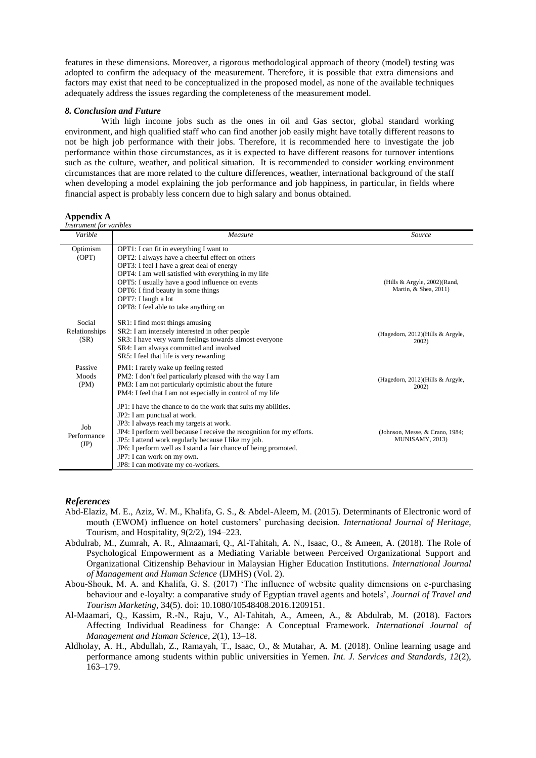features in these dimensions. Moreover, a rigorous methodological approach of theory (model) testing was adopted to confirm the adequacy of the measurement. Therefore, it is possible that extra dimensions and factors may exist that need to be conceptualized in the proposed model, as none of the available techniques adequately address the issues regarding the completeness of the measurement model.

#### *8. Conclusion and Future*

With high income jobs such as the ones in oil and Gas sector, global standard working environment, and high qualified staff who can find another job easily might have totally different reasons to not be high job performance with their jobs. Therefore, it is recommended here to investigate the job performance within those circumstances, as it is expected to have different reasons for turnover intentions such as the culture, weather, and political situation. It is recommended to consider working environment circumstances that are more related to the culture differences, weather, international background of the staff when developing a model explaining the job performance and job happiness, in particular, in fields where financial aspect is probably less concern due to high salary and bonus obtained.

| <b>Appendix A</b> |  |
|-------------------|--|
|                   |  |

| Instrument for varibles    |                                                                                                                        |                                                          |
|----------------------------|------------------------------------------------------------------------------------------------------------------------|----------------------------------------------------------|
| Varible                    | Measure                                                                                                                | Source                                                   |
| Optimism                   | OPT1: I can fit in everything I want to                                                                                |                                                          |
| (OPT)                      | OPT2: I always have a cheerful effect on others                                                                        |                                                          |
|                            | OPT3: I feel I have a great deal of energy                                                                             |                                                          |
|                            | OPT4: I am well satisfied with everything in my life                                                                   |                                                          |
|                            | OPT5: I usually have a good influence on events<br>OPT6: I find beauty in some things                                  | (Hills & Argyle, $2002$ )(Rand,<br>Martin, & Shea, 2011) |
|                            | OPT7: I laugh a lot                                                                                                    |                                                          |
|                            | OPT8: I feel able to take anything on                                                                                  |                                                          |
|                            |                                                                                                                        |                                                          |
| Social                     | SR1: I find most things amusing                                                                                        |                                                          |
| Relationships              | SR2: I am intensely interested in other people                                                                         | (Hagedorn, 2012)(Hills & Argyle,                         |
| (SR)                       | SR3: I have very warm feelings towards almost everyone                                                                 | 2002                                                     |
|                            | SR4: I am always committed and involved                                                                                |                                                          |
|                            | SR5: I feel that life is very rewarding                                                                                |                                                          |
| Passive                    | PM1: I rarely wake up feeling rested                                                                                   |                                                          |
| Moods                      | PM2: I don't feel particularly pleased with the way I am                                                               | (Hagedorn, 2012)(Hills & Argyle,                         |
| (PM)                       | PM3: I am not particularly optimistic about the future<br>PM4: I feel that I am not especially in control of my life   | 2002)                                                    |
|                            |                                                                                                                        |                                                          |
|                            | JP1: I have the chance to do the work that suits my abilities.                                                         |                                                          |
|                            | JP2: I am punctual at work.                                                                                            |                                                          |
| Job<br>Performance<br>(JP) | JP3: I always reach my targets at work.                                                                                |                                                          |
|                            | JP4: I perform well because I receive the recognition for my efforts.                                                  | (Johnson, Messe, & Crano, 1984;<br>MUNISAMY, 2013)       |
|                            | JP5: I attend work regularly because I like my job.<br>JP6: I perform well as I stand a fair chance of being promoted. |                                                          |
|                            | JP7: I can work on my own.                                                                                             |                                                          |
|                            | JP8: I can motivate my co-workers.                                                                                     |                                                          |

## *References*

- Abd-Elaziz, M. E., Aziz, W. M., Khalifa, G. S., & Abdel-Aleem, M. (2015). Determinants of Electronic word of mouth (EWOM) influence on hotel customers' purchasing decision. *International Journal of Heritage*, Tourism, and Hospitality, 9(2/2), 194–223.
- Abdulrab, M., Zumrah, A. R., Almaamari, Q., Al-Tahitah, A. N., Isaac, O., & Ameen, A. (2018). The Role of Psychological Empowerment as a Mediating Variable between Perceived Organizational Support and Organizational Citizenship Behaviour in Malaysian Higher Education Institutions*. International Journal of Management and Human Science* (IJMHS) (Vol. 2).
- Abou-Shouk, M. A. and Khalifa, G. S. (2017) 'The influence of website quality dimensions on e-purchasing behaviour and e-loyalty: a comparative study of Egyptian travel agents and hotels', *Journal of Travel and Tourism Marketing*, 34(5). doi: 10.1080/10548408.2016.1209151.
- Al-Maamari, Q., Kassim, R.-N., Raju, V., Al-Tahitah, A., Ameen, A., & Abdulrab, M. (2018). Factors Affecting Individual Readiness for Change: A Conceptual Framework. *International Journal of Management and Human Science*, *2*(1), 13–18.
- Aldholay, A. H., Abdullah, Z., Ramayah, T., Isaac, O., & Mutahar, A. M. (2018). Online learning usage and performance among students within public universities in Yemen. *Int. J. Services and Standards*, *12*(2), 163–179.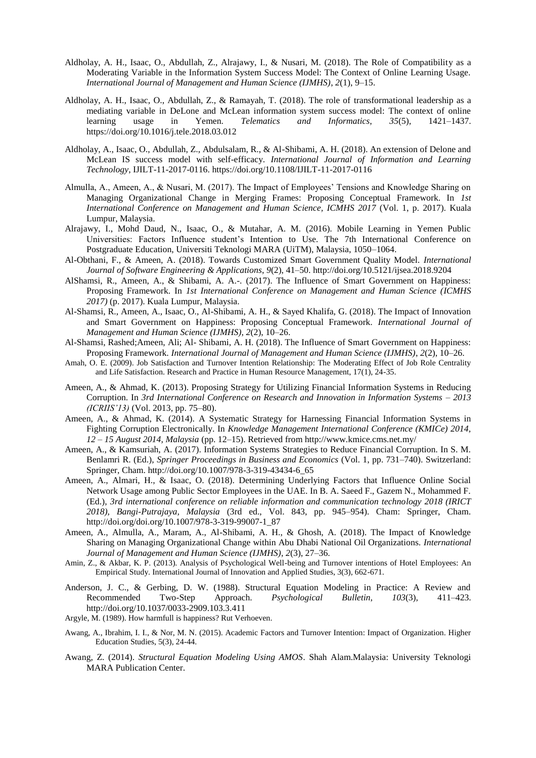- Aldholay, A. H., Isaac, O., Abdullah, Z., Alrajawy, I., & Nusari, M. (2018). The Role of Compatibility as a Moderating Variable in the Information System Success Model: The Context of Online Learning Usage. *International Journal of Management and Human Science (IJMHS)*, *2*(1), 9–15.
- Aldholay, A. H., Isaac, O., Abdullah, Z., & Ramayah, T. (2018). The role of transformational leadership as a mediating variable in DeLone and McLean information system success model: The context of online learning usage in Yemen. *Telematics and Informatics*, *35*(5), 1421–1437. https://doi.org/10.1016/j.tele.2018.03.012
- Aldholay, A., Isaac, O., Abdullah, Z., Abdulsalam, R., & Al-Shibami, A. H. (2018). An extension of Delone and McLean IS success model with self-efficacy. *International Journal of Information and Learning Technology*, IJILT-11-2017-0116. https://doi.org/10.1108/IJILT-11-2017-0116
- Almulla, A., Ameen, A., & Nusari, M. (2017). The Impact of Employees' Tensions and Knowledge Sharing on Managing Organizational Change in Merging Frames: Proposing Conceptual Framework. In *1st International Conference on Management and Human Science, ICMHS 2017* (Vol. 1, p. 2017). Kuala Lumpur, Malaysia.
- Alrajawy, I., Mohd Daud, N., Isaac, O., & Mutahar, A. M. (2016). Mobile Learning in Yemen Public Universities: Factors Influence student's Intention to Use. The 7th International Conference on Postgraduate Education, Universiti Teknologi MARA (UiTM), Malaysia, 1050–1064.
- Al-Obthani, F., & Ameen, A. (2018). Towards Customized Smart Government Quality Model. *International Journal of Software Engineering & Applications*, *9*(2), 41–50. http://doi.org/10.5121/ijsea.2018.9204
- AlShamsi, R., Ameen, A., & Shibami, A. A.-. (2017). The Influence of Smart Government on Happiness: Proposing Framework. In *1st International Conference on Management and Human Science (ICMHS 2017)* (p. 2017). Kuala Lumpur, Malaysia.
- Al-Shamsi, R., Ameen, A., Isaac, O., Al-Shibami, A. H., & Sayed Khalifa, G. (2018). The Impact of Innovation and Smart Government on Happiness: Proposing Conceptual Framework. *International Journal of Management and Human Science (IJMHS)*, *2*(2), 10–26.
- Al-Shamsi, Rashed;Ameen, Ali; Al- Shibami, A. H. (2018). The Influence of Smart Government on Happiness: Proposing Framework. *International Journal of Management and Human Science (IJMHS)*, *2*(2), 10–26.
- Amah, O. E. (2009). Job Satisfaction and Turnover Intention Relationship: The Moderating Effect of Job Role Centrality and Life Satisfaction. Research and Practice in Human Resource Management, 17(1), 24-35.
- Ameen, A., & Ahmad, K. (2013). Proposing Strategy for Utilizing Financial Information Systems in Reducing Corruption. In *3rd International Conference on Research and Innovation in Information Systems – 2013 (ICRIIS'13)* (Vol. 2013, pp. 75–80).
- Ameen, A., & Ahmad, K. (2014). A Systematic Strategy for Harnessing Financial Information Systems in Fighting Corruption Electronically. In *Knowledge Management International Conference (KMICe) 2014, 12 – 15 August 2014, Malaysia* (pp. 12–15). Retrieved from http://www.kmice.cms.net.my/
- Ameen, A., & Kamsuriah, A. (2017). Information Systems Strategies to Reduce Financial Corruption. In S. M. Benlamri R. (Ed.), *Springer Proceedings in Business and Economics* (Vol. 1, pp. 731–740). Switzerland: Springer, Cham. http://doi.org/10.1007/978-3-319-43434-6\_65
- Ameen, A., Almari, H., & Isaac, O. (2018). Determining Underlying Factors that Influence Online Social Network Usage among Public Sector Employees in the UAE. In B. A. Saeed F., Gazem N., Mohammed F. (Ed.), *3rd international conference on reliable information and communication technology 2018 (IRICT 2018), Bangi-Putrajaya, Malaysia* (3rd ed., Vol. 843, pp. 945–954). Cham: Springer, Cham. http://doi.org/doi.org/10.1007/978-3-319-99007-1\_87
- Ameen, A., Almulla, A., Maram, A., Al-Shibami, A. H., & Ghosh, A. (2018). The Impact of Knowledge Sharing on Managing Organizational Change within Abu Dhabi National Oil Organizations. *International Journal of Management and Human Science (IJMHS)*, *2*(3), 27–36.
- Amin, Z., & Akbar, K. P. (2013). Analysis of Psychological Well-being and Turnover intentions of Hotel Employees: An Empirical Study. International Journal of Innovation and Applied Studies, 3(3), 662-671.
- Anderson, J. C., & Gerbing, D. W. (1988). Structural Equation Modeling in Practice: A Review and Recommended Two-Step Approach. *Psychological Bulletin*, *103*(3), 411–423. http://doi.org/10.1037/0033-2909.103.3.411
- Argyle, M. (1989). How harmfull is happiness? Rut Verhoeven.
- Awang, A., Ibrahim, I. I., & Nor, M. N. (2015). Academic Factors and Turnover Intention: Impact of Organization. Higher Education Studies, 5(3), 24-44.
- Awang, Z. (2014). *Structural Equation Modeling Using AMOS*. Shah Alam.Malaysia: University Teknologi MARA Publication Center.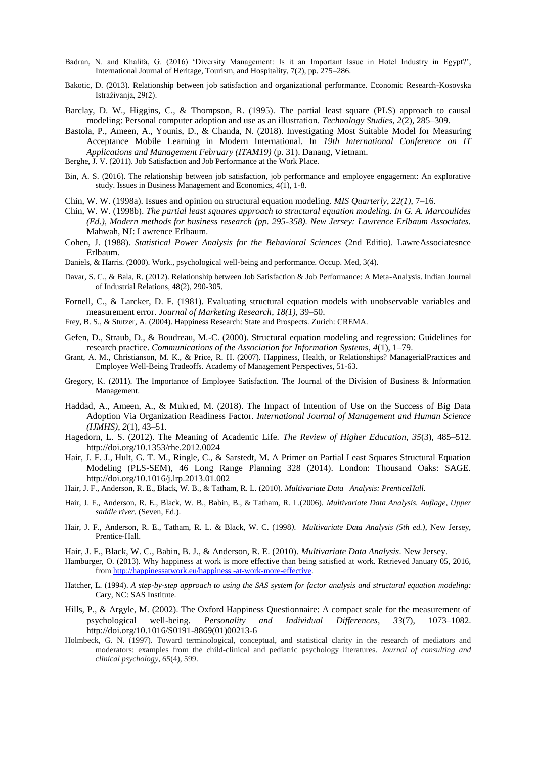- Badran, N. and Khalifa, G. (2016) 'Diversity Management: Is it an Important Issue in Hotel Industry in Egypt?', International Journal of Heritage, Tourism, and Hospitality, 7(2), pp. 275–286.
- Bakotic, D. (2013). Relationship between job satisfaction and organizational performance. Economic Research-Kosovska Istraživanja, 29(2).
- Barclay, D. W., Higgins, C., & Thompson, R. (1995). The partial least square (PLS) approach to causal modeling: Personal computer adoption and use as an illustration. *Technology Studies*, *2*(2), 285–309.
- Bastola, P., Ameen, A., Younis, D., & Chanda, N. (2018). Investigating Most Suitable Model for Measuring Acceptance Mobile Learning in Modern International. In *19th International Conference on IT Applications and Management February (ITAM19)* (p. 31). Danang, Vietnam.
- Berghe, J. V. (2011). Job Satisfaction and Job Performance at the Work Place.
- Bin, A. S. (2016). The relationship between job satisfaction, job performance and employee engagement: An explorative study. Issues in Business Management and Economics, 4(1), 1-8.
- Chin, W. W. (1998a). Issues and opinion on structural equation modeling. *MIS Quarterly*, *22(1)*, 7–16.
- Chin, W. W. (1998b). *The partial least squares approach to structural equation modeling. In G. A. Marcoulides (Ed.), Modern methods for business research (pp. 295-358). New Jersey: Lawrence Erlbaum Associates.* Mahwah, NJ: Lawrence Erlbaum.
- Cohen, J. (1988). *Statistical Power Analysis for the Behavioral Sciences* (2nd Editio). LawreAssociatesnce Erlbaum.
- Daniels, & Harris. (2000). Work., psychological well-being and performance. Occup. Med, 3(4).
- Davar, S. C., & Bala, R. (2012). Relationship between Job Satisfaction & Job Performance: A Meta-Analysis. Indian Journal of Industrial Relations, 48(2), 290-305.
- Fornell, C., & Larcker, D. F. (1981). Evaluating structural equation models with unobservable variables and measurement error. *Journal of Marketing Research*, *18(1)*, 39–50.
- Frey, B. S., & Stutzer, A. (2004). Happiness Research: State and Prospects. Zurich: CREMA.
- Gefen, D., Straub, D., & Boudreau, M.-C. (2000). Structural equation modeling and regression: Guidelines for research practice. *Communications of the Association for Information Systems*, *4*(1), 1–79.
- Grant, A. M., Christianson, M. K., & Price, R. H. (2007). Happiness, Health, or Relationships? ManagerialPractices and Employee Well-Being Tradeoffs. Academy of Management Perspectives, 51-63.
- Gregory, K. (2011). The Importance of Employee Satisfaction. The Journal of the Division of Business & Information Management.
- Haddad, A., Ameen, A., & Mukred, M. (2018). The Impact of Intention of Use on the Success of Big Data Adoption Via Organization Readiness Factor. *International Journal of Management and Human Science (IJMHS)*, *2*(1), 43–51.
- Hagedorn, L. S. (2012). The Meaning of Academic Life. *The Review of Higher Education*, *35*(3), 485–512. http://doi.org/10.1353/rhe.2012.0024
- Hair, J. F. J., Hult, G. T. M., Ringle, C., & Sarstedt, M. A Primer on Partial Least Squares Structural Equation Modeling (PLS-SEM), 46 Long Range Planning 328 (2014). London: Thousand Oaks: SAGE. http://doi.org/10.1016/j.lrp.2013.01.002
- Hair, J. F., Anderson, R. E., Black, W. B., & Tatham, R. L. (2010). *Multivariate Data Analysis: PrenticeHall.*
- Hair, J. F., Anderson, R. E., Black, W. B., Babin, B., & Tatham, R. L.(2006). *Multivariate Data Analysis. Auflage, Upper saddle river.* (Seven, Ed.).
- Hair, J. F., Anderson, R. E., Tatham, R. L. & Black, W. C. (1998*). Multivariate Data Analysis (5th ed.)*, New Jersey, Prentice-Hall.
- Hair, J. F., Black, W. C., Babin, B. J., & Anderson, R. E. (2010). *Multivariate Data Analysis*. New Jersey.
- Hamburger, O. (2013). Why happiness at work is more effective than being satisfied at work. Retrieved January 05, 2016, fro[m http://happinessatwork.eu/happiness -at-work-more-effective.](http://happinessatwork.eu/happiness%20-at-work-more-effective)
- Hatcher, L. (1994). *A step-by-step approach to using the SAS system for factor analysis and structural equation modeling:*  Cary, NC: SAS Institute.
- Hills, P., & Argyle, M. (2002). The Oxford Happiness Questionnaire: A compact scale for the measurement of psychological well-being. *Personality and Individual Differences*, *33*(7), 1073–1082. http://doi.org/10.1016/S0191-8869(01)00213-6
- Holmbeck, G. N. (1997). Toward terminological, conceptual, and statistical clarity in the research of mediators and moderators: examples from the child-clinical and pediatric psychology literatures. *Journal of consulting and clinical psychology*, *65*(4), 599.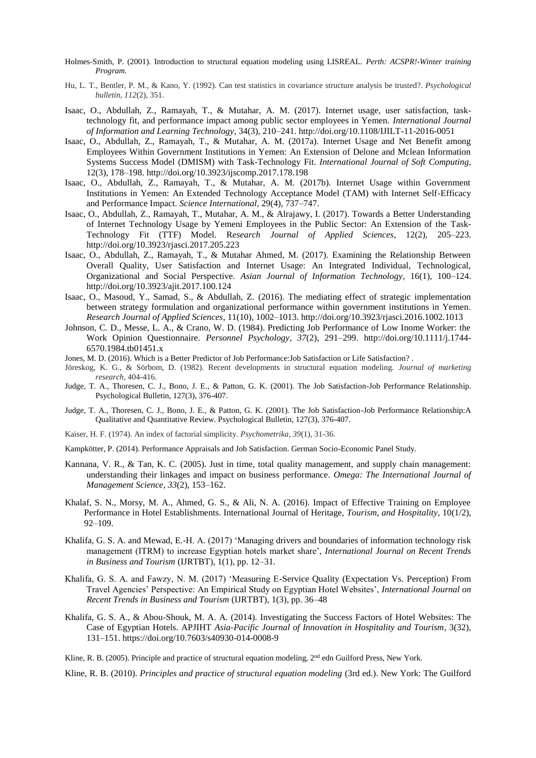- Holmes-Smith, P. (2001). Introduction to structural equation modeling using LISREAL. *Perth: ACSPR!-Winter training Program.*
- Hu, L. T., Bentler, P. M., & Kano, Y. (1992). Can test statistics in covariance structure analysis be trusted?. *Psychological bulletin*, *112*(2), 351.
- Isaac, O., Abdullah, Z., Ramayah, T., & Mutahar, A. M. (2017). Internet usage, user satisfaction, tasktechnology fit, and performance impact among public sector employees in Yemen. *International Journal of Information and Learning Technology*, 34(3), 210–241. http://doi.org/10.1108/IJILT-11-2016-0051
- Isaac, O., Abdullah, Z., Ramayah, T., & Mutahar, A. M. (2017a). Internet Usage and Net Benefit among Employees Within Government Institutions in Yemen: An Extension of Delone and Mclean Information Systems Success Model (DMISM) with Task-Technology Fit. *International Journal of Soft Computing*, 12(3), 178–198. http://doi.org/10.3923/ijscomp.2017.178.198
- Isaac, O., Abdullah, Z., Ramayah, T., & Mutahar, A. M. (2017b). Internet Usage within Government Institutions in Yemen: An Extended Technology Acceptance Model (TAM) with Internet Self-Efficacy and Performance Impact. *Science International*, 29(4), 737–747.
- Isaac, O., Abdullah, Z., Ramayah, T., Mutahar, A. M., & Alrajawy, I. (2017). Towards a Better Understanding of Internet Technology Usage by Yemeni Employees in the Public Sector: An Extension of the Task-Technology Fit (TTF) Model. R*esearch Journal of Applied Sciences*, 12(2), 205–223. http://doi.org/10.3923/rjasci.2017.205.223
- Isaac, O., Abdullah, Z., Ramayah, T., & Mutahar Ahmed, M. (2017). Examining the Relationship Between Overall Quality, User Satisfaction and Internet Usage: An Integrated Individual, Technological, Organizational and Social Perspective. *Asian Journal of Information Technology*, 16(1), 100–124. http://doi.org/10.3923/ajit.2017.100.124
- Isaac, O., Masoud, Y., Samad, S., & Abdullah, Z. (2016). The mediating effect of strategic implementation between strategy formulation and organizational performance within government institutions in Yemen. *Research Journal of Applied Sciences*, 11(10), 1002–1013. http://doi.org/10.3923/rjasci.2016.1002.1013
- Johnson, C. D., Messe, L. A., & Crano, W. D. (1984). Predicting Job Performance of Low Inome Worker: the Work Opinion Questionnaire. *Personnel Psychology*, *37*(2), 291–299. http://doi.org/10.1111/j.1744- 6570.1984.tb01451.x
- Jones, M. D. (2016). Which is a Better Predictor of Job Performance:Job Satisfaction or Life Satisfaction? .
- Jöreskog, K. G., & Sörbom, D. (1982). Recent developments in structural equation modeling. *Journal of marketing research*, 404-416.
- Judge, T. A., Thoresen, C. J., Bono, J. E., & Patton, G. K. (2001). The Job Satisfaction-Job Performance Relationship. Psychological Bulletin, 127(3), 376-407.
- Judge, T. A., Thoresen, C. J., Bono, J. E., & Patton, G. K. (2001). The Job Satisfaction-Job Performance Relationship:A Qualitative and Quantitative Review. Psychological Bulletin, 127(3), 376-407.
- Kaiser, H. F. (1974). An index of factorial simplicity. *Psychometrika*, *39*(1), 31-36.
- Kampkötter, P. (2014). Performance Appraisals and Job Satisfaction. German Socio-Economic Panel Study.
- Kannana, V. R., & Tan, K. C. (2005). Just in time, total quality management, and supply chain management: understanding their linkages and impact on business performance. *Omega: The International Journal of Management Science*, *33*(2), 153–162.
- Khalaf, S. N., Morsy, M. A., Ahmed, G. S., & Ali, N. A. (2016). Impact of Effective Training on Employee Performance in Hotel Establishments. International Journal of Heritage, *Tourism, and Hospitality*, 10(1/2), 92–109.
- Khalifa, G. S. A. and Mewad, E.-H. A. (2017) 'Managing drivers and boundaries of information technology risk management (ITRM) to increase Egyptian hotels market share', *International Journal on Recent Trends in Business and Tourism* (IJRTBT), 1(1), pp. 12–31.
- Khalifa, G. S. A. and Fawzy, N. M. (2017) 'Measuring E-Service Quality (Expectation Vs. Perception) From Travel Agencies' Perspective: An Empirical Study on Egyptian Hotel Websites', *International Journal on Recent Trends in Business and Tourism* (IJRTBT), 1(3), pp. 36–48
- Khalifa, G. S. A., & Abou-Shouk, M. A. A. (2014). Investigating the Success Factors of Hotel Websites: The Case of Egyptian Hotels. APJIHT *Asia-Pacific Journal of Innovation in Hospitality and Tourism*, 3(32), 131–151. https://doi.org/10.7603/s40930-014-0008-9

Kline, R. B. (2005). Principle and practice of structural equation modeling, 2<sup>nd</sup> edn Guilford Press, New York.

Kline, R. B. (2010). *Principles and practice of structural equation modeling* (3rd ed.). New York: The Guilford